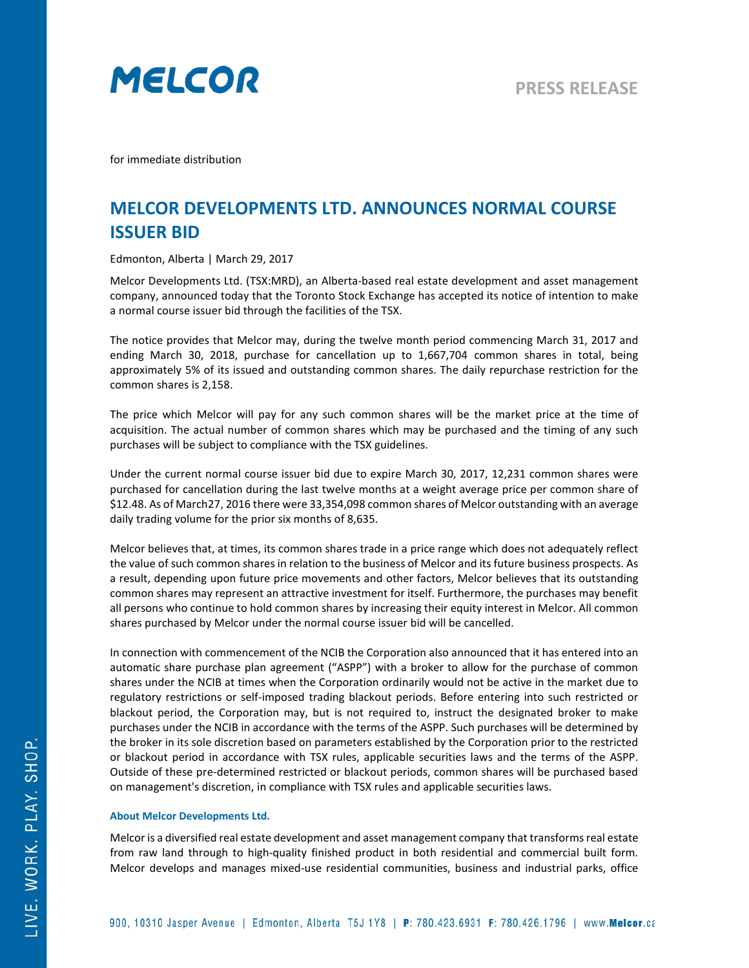

for immediate distribution

## **MELCOR DEVELOPMENTS LTD. ANNOUNCES NORMAL COURSE ISSUER BID**

Edmonton, Alberta | March 29, 2017

Melcor Developments Ltd. (TSX:MRD), an Alberta-based real estate development and asset management company, announced today that the Toronto Stock Exchange has accepted its notice of intention to make a normal course issuer bid through the facilities of the TSX.

The notice provides that Melcor may, during the twelve month period commencing March 31, 2017 and ending March 30, 2018, purchase for cancellation up to 1,667,704 common shares in total, being approximately 5% of its issued and outstanding common shares. The daily repurchase restriction for the common shares is 2,158.

The price which Melcor will pay for any such common shares will be the market price at the time of acquisition. The actual number of common shares which may be purchased and the timing of any such purchases will be subject to compliance with the TSX guidelines.

Under the current normal course issuer bid due to expire March 30, 2017, 12,231 common shares were purchased for cancellation during the last twelve months at a weight average price per common share of \$12.48. As of March27, 2016 there were 33,354,098 common shares of Melcor outstanding with an average daily trading volume for the prior six months of 8,635.

Melcor believes that, at times, its common shares trade in a price range which does not adequately reflect the value of such common shares in relation to the business of Melcor and its future business prospects. As a result, depending upon future price movements and other factors, Melcor believes that its outstanding common shares may represent an attractive investment for itself. Furthermore, the purchases may benefit all persons who continue to hold common shares by increasing their equity interest in Melcor. All common shares purchased by Melcor under the normal course issuer bid will be cancelled.

In connection with commencement of the NCIB the Corporation also announced that it has entered into an automatic share purchase plan agreement ("ASPP") with a broker to allow for the purchase of common shares under the NCIB at times when the Corporation ordinarily would not be active in the market due to regulatory restrictions or self-imposed trading blackout periods. Before entering into such restricted or blackout period, the Corporation may, but is not required to, instruct the designated broker to make purchases under the NCIB in accordance with the terms of the ASPP. Such purchases will be determined by the broker in its sole discretion based on parameters established by the Corporation prior to the restricted or blackout period in accordance with TSX rules, applicable securities laws and the terms of the ASPP. Outside of these pre-determined restricted or blackout periods, common shares will be purchased based on management's discretion, in compliance with TSX rules and applicable securities laws.

## **About Melcor Developments Ltd.**

Melcor is a diversified real estate development and asset management company that transforms real estate from raw land through to high-quality finished product in both residential and commercial built form. Melcor develops and manages mixed-use residential communities, business and industrial parks, office